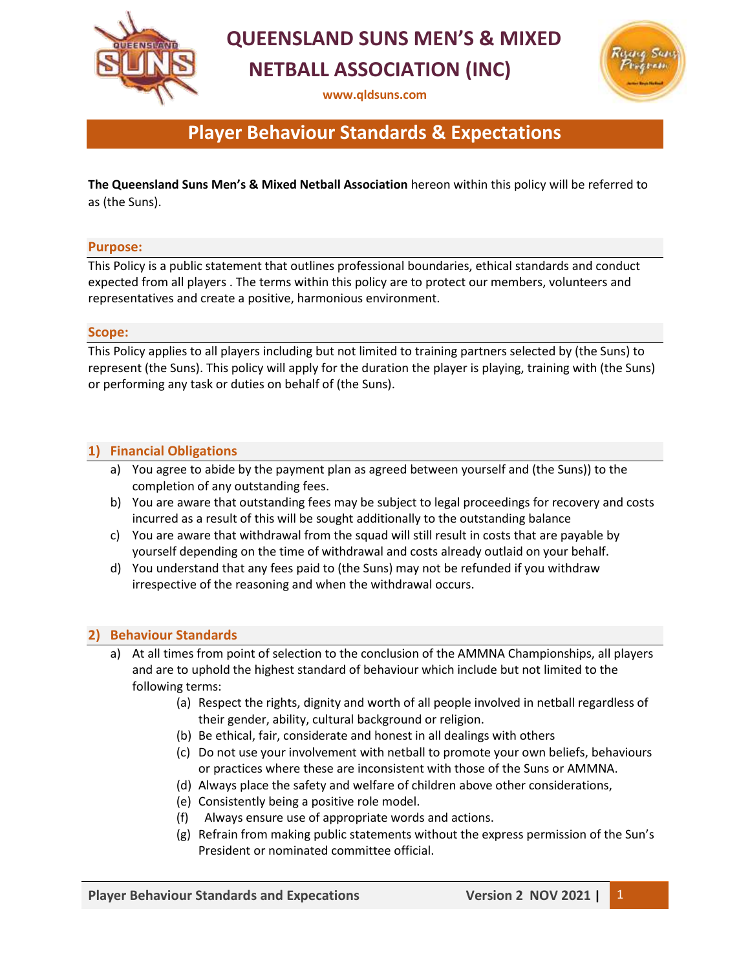

## **QUEENSLAND SUNS MEN'S & MIXED NETBALL ASSOCIATION (INC)**

**[www.qldsuns.com](http://www.qldsuns.com/)**



## **Player Behaviour Standards & Expectations**

**The Queensland Suns Men's & Mixed Netball Association** hereon within this policy will be referred to as (the Suns).

### **Purpose:**

This Policy is a public statement that outlines professional boundaries, ethical standards and conduct expected from all players . The terms within this policy are to protect our members, volunteers and representatives and create a positive, harmonious environment.

#### **Scope:**

This Policy applies to all players including but not limited to training partners selected by (the Suns) to represent (the Suns). This policy will apply for the duration the player is playing, training with (the Suns) or performing any task or duties on behalf of (the Suns).

### **1) Financial Obligations**

- a) You agree to abide by the payment plan as agreed between yourself and (the Suns)) to the completion of any outstanding fees.
- b) You are aware that outstanding fees may be subject to legal proceedings for recovery and costs incurred as a result of this will be sought additionally to the outstanding balance
- c) You are aware that withdrawal from the squad will still result in costs that are payable by yourself depending on the time of withdrawal and costs already outlaid on your behalf.
- d) You understand that any fees paid to (the Suns) may not be refunded if you withdraw irrespective of the reasoning and when the withdrawal occurs.

### **2) Behaviour Standards**

- a) At all times from point of selection to the conclusion of the AMMNA Championships, all players and are to uphold the highest standard of behaviour which include but not limited to the following terms:
	- (a) Respect the rights, dignity and worth of all people involved in netball regardless of their gender, ability, cultural background or religion.
	- (b) Be ethical, fair, considerate and honest in all dealings with others
	- (c) Do not use your involvement with netball to promote your own beliefs, behaviours or practices where these are inconsistent with those of the Suns or AMMNA.
	- (d) Always place the safety and welfare of children above other considerations,
	- (e) Consistently being a positive role model.
	- (f) Always ensure use of appropriate words and actions.
	- (g) Refrain from making public statements without the express permission of the Sun's President or nominated committee official.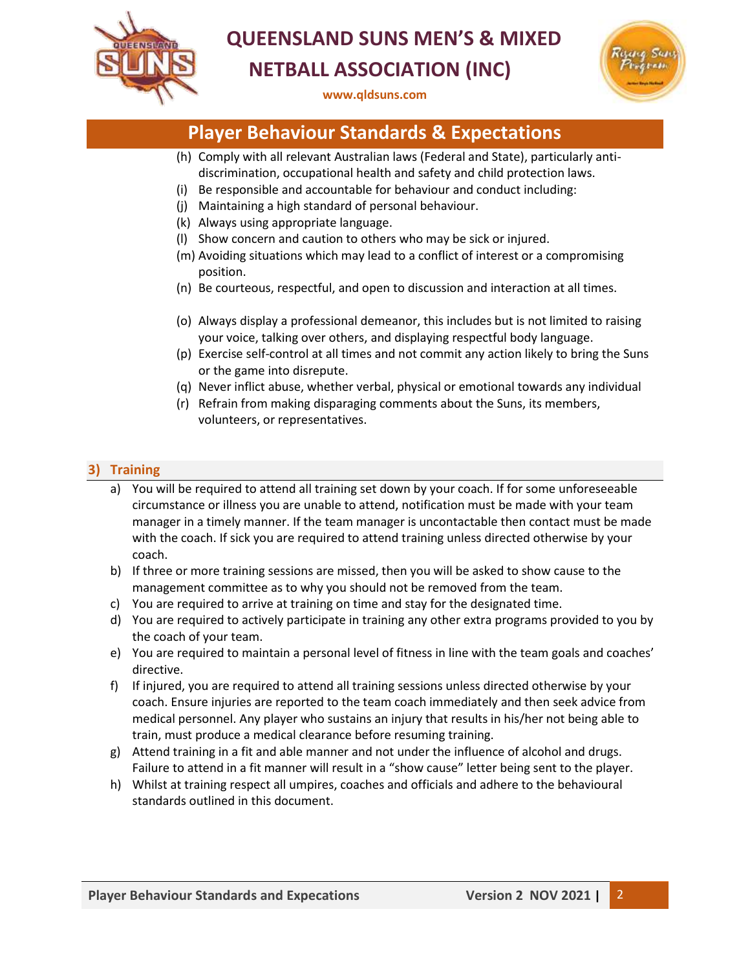

# **QUEENSLAND SUNS MEN'S & MIXED NETBALL ASSOCIATION (INC)**

**[www.qldsuns.com](http://www.qldsuns.com/)**



### **Player Behaviour Standards & Expectations**

- (h) Comply with all relevant Australian laws (Federal and State), particularly antidiscrimination, occupational health and safety and child protection laws.
- (i) Be responsible and accountable for behaviour and conduct including:
- (j) Maintaining a high standard of personal behaviour.
- (k) Always using appropriate language.
- (l) Show concern and caution to others who may be sick or injured.
- (m) Avoiding situations which may lead to a conflict of interest or a compromising position.
- (n) Be courteous, respectful, and open to discussion and interaction at all times.
- (o) Always display a professional demeanor, this includes but is not limited to raising your voice, talking over others, and displaying respectful body language.
- (p) Exercise self-control at all times and not commit any action likely to bring the Suns or the game into disrepute.
- (q) Never inflict abuse, whether verbal, physical or emotional towards any individual
- (r) Refrain from making disparaging comments about the Suns, its members, volunteers, or representatives.

### **3) Training**

- a) You will be required to attend all training set down by your coach. If for some unforeseeable circumstance or illness you are unable to attend, notification must be made with your team manager in a timely manner. If the team manager is uncontactable then contact must be made with the coach. If sick you are required to attend training unless directed otherwise by your coach.
- b) If three or more training sessions are missed, then you will be asked to show cause to the management committee as to why you should not be removed from the team.
- c) You are required to arrive at training on time and stay for the designated time.
- d) You are required to actively participate in training any other extra programs provided to you by the coach of your team.
- e) You are required to maintain a personal level of fitness in line with the team goals and coaches' directive.
- f) If injured, you are required to attend all training sessions unless directed otherwise by your coach. Ensure injuries are reported to the team coach immediately and then seek advice from medical personnel. Any player who sustains an injury that results in his/her not being able to train, must produce a medical clearance before resuming training.
- g) Attend training in a fit and able manner and not under the influence of alcohol and drugs. Failure to attend in a fit manner will result in a "show cause" letter being sent to the player.
- h) Whilst at training respect all umpires, coaches and officials and adhere to the behavioural standards outlined in this document.